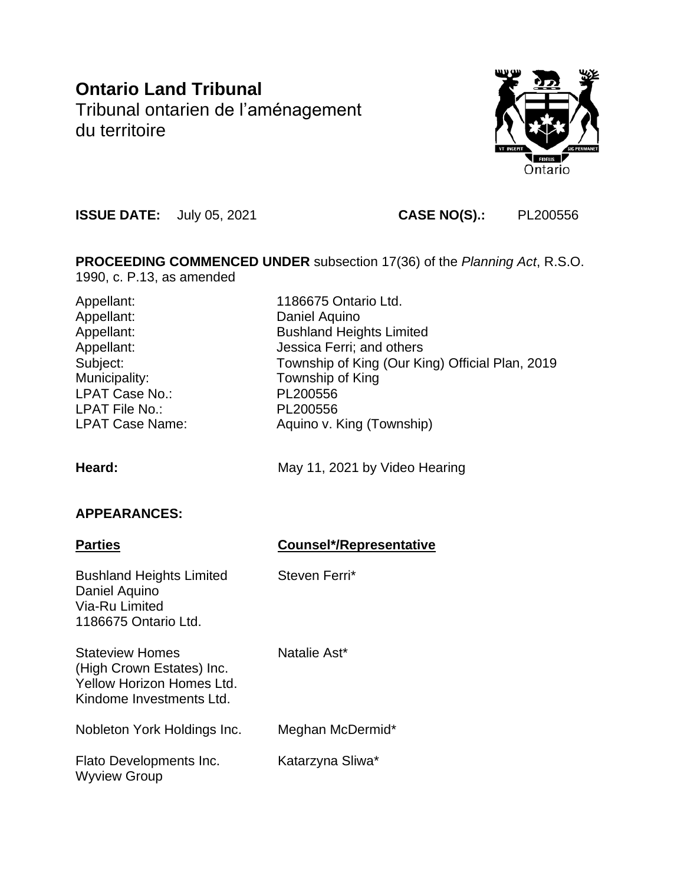# **Ontario Land Tribunal** Tribunal ontarien de l'aménagement du territoire



**ISSUE DATE:** July 05, 2021 **CASE NO(S).:** PL200556

**PROCEEDING COMMENCED UNDER** subsection 17(36) of the *Planning Act*, R.S.O. 1990, c. P.13, as amended

Appellant: Daniel Aquino Municipality: Township of King LPAT Case No.: PL200556 LPAT File No.: PL200556

Appellant: 1186675 Ontario Ltd. Appellant: Bushland Heights Limited Appellant: Jessica Ferri; and others Subject: Township of King (Our King) Official Plan, 2019 LPAT Case Name: Aquino v. King (Township)

Heard: May 11, 2021 by Video Hearing

## **APPEARANCES:**

| <b>Parties</b>                                                                                               | <b>Counsel*/Representative</b> |
|--------------------------------------------------------------------------------------------------------------|--------------------------------|
| <b>Bushland Heights Limited</b><br>Daniel Aquino<br>Via-Ru Limited<br>1186675 Ontario Ltd.                   | Steven Ferri*                  |
| <b>Stateview Homes</b><br>(High Crown Estates) Inc.<br>Yellow Horizon Homes Ltd.<br>Kindome Investments Ltd. | Natalie Ast*                   |
| Nobleton York Holdings Inc.                                                                                  | Meghan McDermid*               |
| Flato Developments Inc.<br><b>Wyview Group</b>                                                               | Katarzyna Sliwa*               |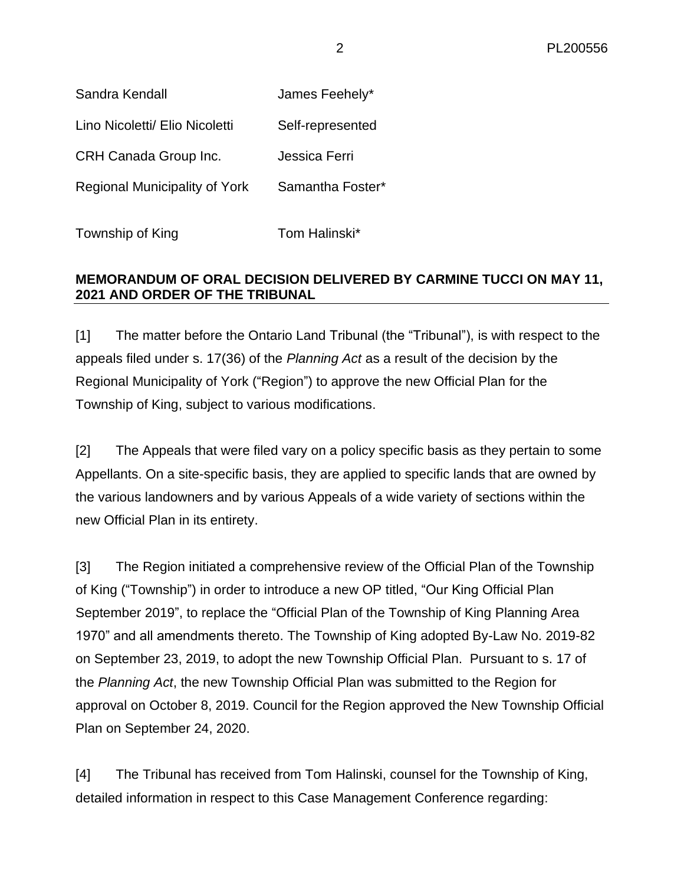| Sandra Kendall                 | James Feehely*   |
|--------------------------------|------------------|
| Lino Nicoletti/ Elio Nicoletti | Self-represented |

CRH Canada Group Inc. Jessica Ferri

Regional Municipality of York Samantha Foster\*

Township of King Tom Halinski\*

### **MEMORANDUM OF ORAL DECISION DELIVERED BY CARMINE TUCCI ON MAY 11, 2021 AND ORDER OF THE TRIBUNAL**

[1] The matter before the Ontario Land Tribunal (the "Tribunal"), is with respect to the appeals filed under s. 17(36) of the *Planning Act* as a result of the decision by the Regional Municipality of York ("Region") to approve the new Official Plan for the Township of King, subject to various modifications.

[2] The Appeals that were filed vary on a policy specific basis as they pertain to some Appellants. On a site-specific basis, they are applied to specific lands that are owned by the various landowners and by various Appeals of a wide variety of sections within the new Official Plan in its entirety.

[3] The Region initiated a comprehensive review of the Official Plan of the Township of King ("Township") in order to introduce a new OP titled, "Our King Official Plan September 2019", to replace the "Official Plan of the Township of King Planning Area 1970" and all amendments thereto. The Township of King adopted By-Law No. 2019-82 on September 23, 2019, to adopt the new Township Official Plan. Pursuant to s. 17 of the *Planning Act*, the new Township Official Plan was submitted to the Region for approval on October 8, 2019. Council for the Region approved the New Township Official Plan on September 24, 2020.

[4] The Tribunal has received from Tom Halinski, counsel for the Township of King, detailed information in respect to this Case Management Conference regarding: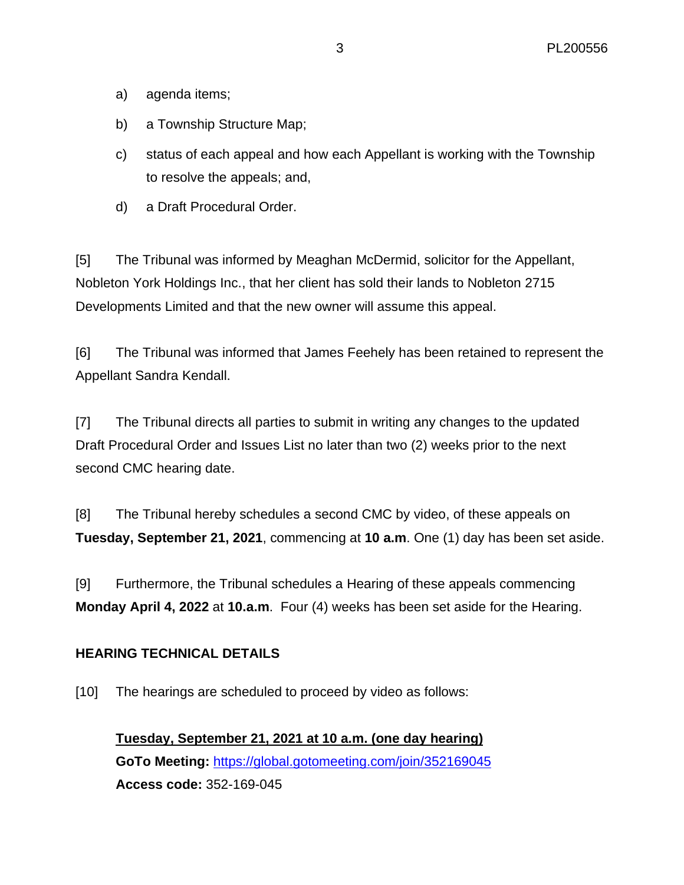- a) agenda items;
- b) a Township Structure Map;
- c) status of each appeal and how each Appellant is working with the Township to resolve the appeals; and,
- d) a Draft Procedural Order.

[5] The Tribunal was informed by Meaghan McDermid, solicitor for the Appellant, Nobleton York Holdings Inc., that her client has sold their lands to Nobleton 2715 Developments Limited and that the new owner will assume this appeal.

[6] The Tribunal was informed that James Feehely has been retained to represent the Appellant Sandra Kendall.

[7] The Tribunal directs all parties to submit in writing any changes to the updated Draft Procedural Order and Issues List no later than two (2) weeks prior to the next second CMC hearing date.

[8] The Tribunal hereby schedules a second CMC by video, of these appeals on **Tuesday, September 21, 2021**, commencing at **10 a.m**. One (1) day has been set aside.

[9] Furthermore, the Tribunal schedules a Hearing of these appeals commencing **Monday April 4, 2022** at **10.a.m**. Four (4) weeks has been set aside for the Hearing.

#### **HEARING TECHNICAL DETAILS**

[10] The hearings are scheduled to proceed by video as follows:

**Tuesday, September 21, 2021 at 10 a.m. (one day hearing) GoTo Meeting:** <https://global.gotomeeting.com/join/352169045> **Access code:** 352-169-045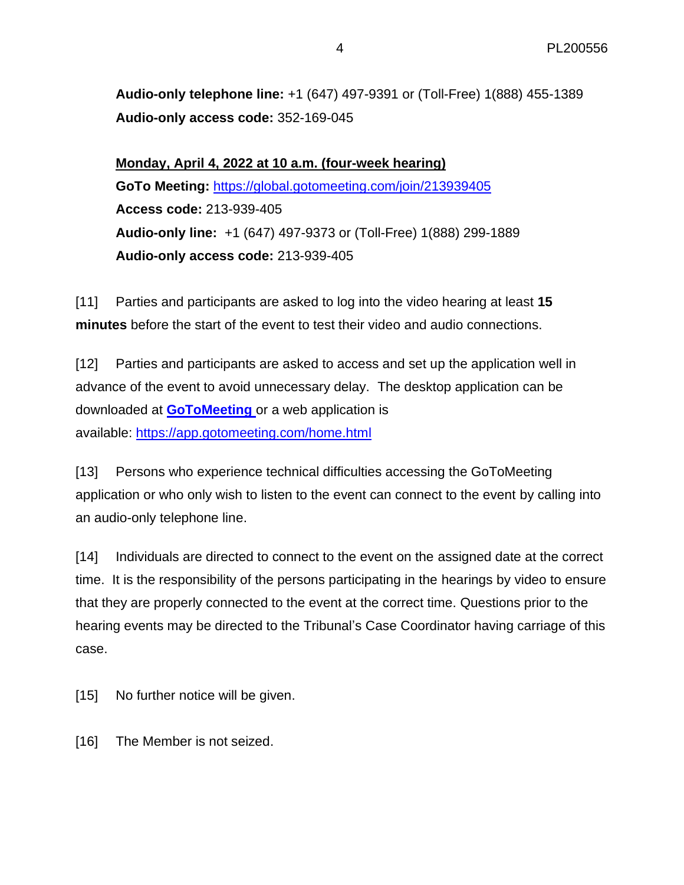**Audio-only telephone line:** +1 (647) 497-9391 or (Toll-Free) 1(888) 455-1389 **Audio-only access code:** 352-169-045

**Monday, April 4, 2022 at 10 a.m. (four-week hearing) GoTo Meeting:** <https://global.gotomeeting.com/join/213939405> **Access code:** 213-939-405 **Audio-only line:** +1 (647) 497-9373 or (Toll-Free) 1(888) 299-1889 **Audio-only access code:** 213-939-405

[11] Parties and participants are asked to log into the video hearing at least **15 minutes** before the start of the event to test their video and audio connections.

[12] Parties and participants are asked to access and set up the application well in advance of the event to avoid unnecessary delay. The desktop application can be downloaded at **[GoToMeeting](https://global.gotomeeting.com/install)** or a web application is available: <https://app.gotomeeting.com/home.html>

[13] Persons who experience technical difficulties accessing the GoToMeeting application or who only wish to listen to the event can connect to the event by calling into an audio-only telephone line.

[14] Individuals are directed to connect to the event on the assigned date at the correct time. It is the responsibility of the persons participating in the hearings by video to ensure that they are properly connected to the event at the correct time. Questions prior to the hearing events may be directed to the Tribunal's Case Coordinator having carriage of this case.

[15] No further notice will be given.

[16] The Member is not seized.